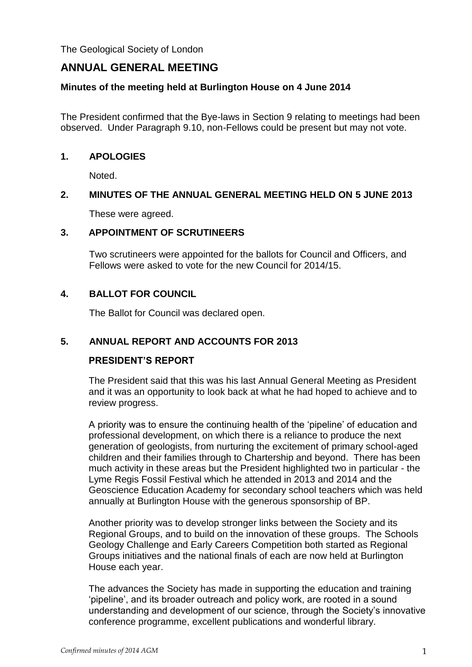The Geological Society of London

# **ANNUAL GENERAL MEETING**

### **Minutes of the meeting held at Burlington House on 4 June 2014**

The President confirmed that the Bye-laws in Section 9 relating to meetings had been observed. Under Paragraph 9.10, non-Fellows could be present but may not vote.

#### **1. APOLOGIES**

Noted.

## **2. MINUTES OF THE ANNUAL GENERAL MEETING HELD ON 5 JUNE 2013**

These were agreed.

#### **3. APPOINTMENT OF SCRUTINEERS**

Two scrutineers were appointed for the ballots for Council and Officers, and Fellows were asked to vote for the new Council for 2014/15.

## **4. BALLOT FOR COUNCIL**

The Ballot for Council was declared open.

## **5. ANNUAL REPORT AND ACCOUNTS FOR 2013**

## **PRESIDENT'S REPORT**

The President said that this was his last Annual General Meeting as President and it was an opportunity to look back at what he had hoped to achieve and to review progress.

A priority was to ensure the continuing health of the 'pipeline' of education and professional development, on which there is a reliance to produce the next generation of geologists, from nurturing the excitement of primary school-aged children and their families through to Chartership and beyond. There has been much activity in these areas but the President highlighted two in particular - the Lyme Regis Fossil Festival which he attended in 2013 and 2014 and the Geoscience Education Academy for secondary school teachers which was held annually at Burlington House with the generous sponsorship of BP.

Another priority was to develop stronger links between the Society and its Regional Groups, and to build on the innovation of these groups. The Schools Geology Challenge and Early Careers Competition both started as Regional Groups initiatives and the national finals of each are now held at Burlington House each year.

The advances the Society has made in supporting the education and training 'pipeline', and its broader outreach and policy work, are rooted in a sound understanding and development of our science, through the Society's innovative conference programme, excellent publications and wonderful library.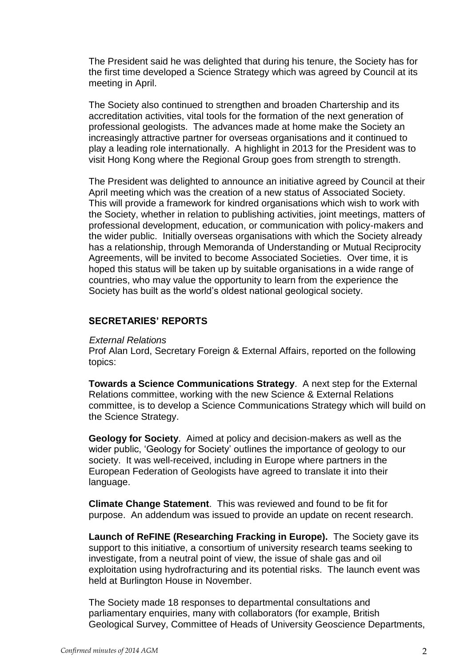The President said he was delighted that during his tenure, the Society has for the first time developed a Science Strategy which was agreed by Council at its meeting in April.

The Society also continued to strengthen and broaden Chartership and its accreditation activities, vital tools for the formation of the next generation of professional geologists. The advances made at home make the Society an increasingly attractive partner for overseas organisations and it continued to play a leading role internationally. A highlight in 2013 for the President was to visit Hong Kong where the Regional Group goes from strength to strength.

The President was delighted to announce an initiative agreed by Council at their April meeting which was the creation of a new status of Associated Society. This will provide a framework for kindred organisations which wish to work with the Society, whether in relation to publishing activities, joint meetings, matters of professional development, education, or communication with policy-makers and the wider public. Initially overseas organisations with which the Society already has a relationship, through Memoranda of Understanding or Mutual Reciprocity Agreements, will be invited to become Associated Societies. Over time, it is hoped this status will be taken up by suitable organisations in a wide range of countries, who may value the opportunity to learn from the experience the Society has built as the world's oldest national geological society.

## **SECRETARIES' REPORTS**

#### *External Relations*

Prof Alan Lord, Secretary Foreign & External Affairs, reported on the following topics:

**Towards a Science Communications Strategy**. A next step for the External Relations committee, working with the new Science & External Relations committee, is to develop a Science Communications Strategy which will build on the Science Strategy.

**Geology for Society**. Aimed at policy and decision-makers as well as the wider public, 'Geology for Society' outlines the importance of geology to our society. It was well-received, including in Europe where partners in the European Federation of Geologists have agreed to translate it into their language.

**Climate Change Statement**. This was reviewed and found to be fit for purpose. An addendum was issued to provide an update on recent research.

**Launch of ReFINE (Researching Fracking in Europe).** The Society gave its support to this initiative, a consortium of university research teams seeking to investigate, from a neutral point of view, the issue of shale gas and oil exploitation using hydrofracturing and its potential risks. The launch event was held at Burlington House in November.

The Society made 18 responses to departmental consultations and parliamentary enquiries, many with collaborators (for example, British Geological Survey, Committee of Heads of University Geoscience Departments,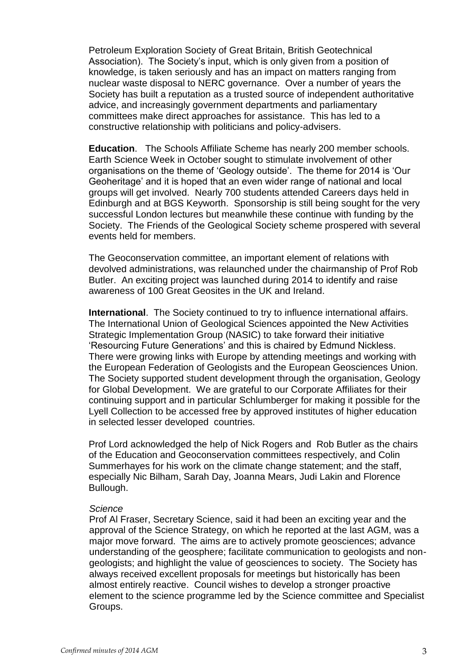Petroleum Exploration Society of Great Britain, British Geotechnical Association). The Society's input, which is only given from a position of knowledge, is taken seriously and has an impact on matters ranging from nuclear waste disposal to NERC governance. Over a number of years the Society has built a reputation as a trusted source of independent authoritative advice, and increasingly government departments and parliamentary committees make direct approaches for assistance. This has led to a constructive relationship with politicians and policy-advisers.

**Education**. The Schools Affiliate Scheme has nearly 200 member schools. Earth Science Week in October sought to stimulate involvement of other organisations on the theme of 'Geology outside'. The theme for 2014 is 'Our Geoheritage' and it is hoped that an even wider range of national and local groups will get involved. Nearly 700 students attended Careers days held in Edinburgh and at BGS Keyworth. Sponsorship is still being sought for the very successful London lectures but meanwhile these continue with funding by the Society. The Friends of the Geological Society scheme prospered with several events held for members.

The Geoconservation committee, an important element of relations with devolved administrations, was relaunched under the chairmanship of Prof Rob Butler. An exciting project was launched during 2014 to identify and raise awareness of 100 Great Geosites in the UK and Ireland.

**International**. The Society continued to try to influence international affairs. The International Union of Geological Sciences appointed the New Activities Strategic Implementation Group (NASIC) to take forward their initiative 'Resourcing Future Generations' and this is chaired by Edmund Nickless. There were growing links with Europe by attending meetings and working with the European Federation of Geologists and the European Geosciences Union. The Society supported student development through the organisation, Geology for Global Development. We are grateful to our Corporate Affiliates for their continuing support and in particular Schlumberger for making it possible for the Lyell Collection to be accessed free by approved institutes of higher education in selected lesser developed countries.

Prof Lord acknowledged the help of Nick Rogers and Rob Butler as the chairs of the Education and Geoconservation committees respectively, and Colin Summerhayes for his work on the climate change statement; and the staff, especially Nic Bilham, Sarah Day, Joanna Mears, Judi Lakin and Florence Bullough.

#### *Science*

Prof Al Fraser, Secretary Science, said it had been an exciting year and the approval of the Science Strategy, on which he reported at the last AGM, was a major move forward. The aims are to actively promote geosciences; advance understanding of the geosphere; facilitate communication to geologists and nongeologists; and highlight the value of geosciences to society. The Society has always received excellent proposals for meetings but historically has been almost entirely reactive. Council wishes to develop a stronger proactive element to the science programme led by the Science committee and Specialist Groups.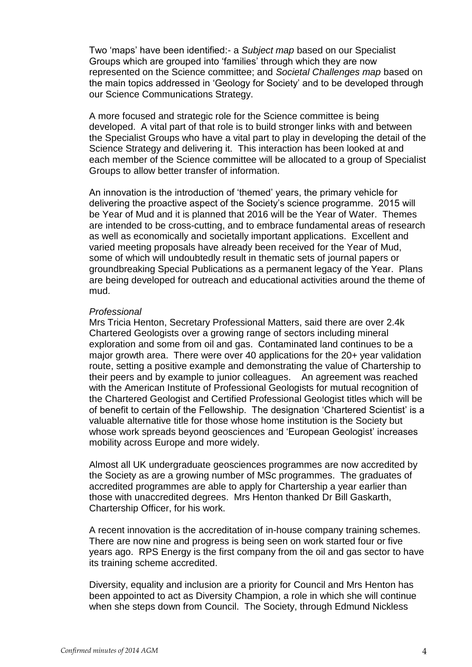Two 'maps' have been identified:- a *Subject map* based on our Specialist Groups which are grouped into 'families' through which they are now represented on the Science committee; and *Societal Challenges map* based on the main topics addressed in 'Geology for Society' and to be developed through our Science Communications Strategy.

A more focused and strategic role for the Science committee is being developed. A vital part of that role is to build stronger links with and between the Specialist Groups who have a vital part to play in developing the detail of the Science Strategy and delivering it. This interaction has been looked at and each member of the Science committee will be allocated to a group of Specialist Groups to allow better transfer of information.

An innovation is the introduction of 'themed' years, the primary vehicle for delivering the proactive aspect of the Society's science programme. 2015 will be Year of Mud and it is planned that 2016 will be the Year of Water. Themes are intended to be cross-cutting, and to embrace fundamental areas of research as well as economically and societally important applications. Excellent and varied meeting proposals have already been received for the Year of Mud, some of which will undoubtedly result in thematic sets of journal papers or groundbreaking Special Publications as a permanent legacy of the Year. Plans are being developed for outreach and educational activities around the theme of mud.

#### *Professional*

Mrs Tricia Henton, Secretary Professional Matters, said there are over 2.4k Chartered Geologists over a growing range of sectors including mineral exploration and some from oil and gas. Contaminated land continues to be a major growth area. There were over 40 applications for the 20+ year validation route, setting a positive example and demonstrating the value of Chartership to their peers and by example to junior colleagues. An agreement was reached with the American Institute of Professional Geologists for mutual recognition of the Chartered Geologist and Certified Professional Geologist titles which will be of benefit to certain of the Fellowship. The designation 'Chartered Scientist' is a valuable alternative title for those whose home institution is the Society but whose work spreads beyond geosciences and 'European Geologist' increases mobility across Europe and more widely.

Almost all UK undergraduate geosciences programmes are now accredited by the Society as are a growing number of MSc programmes. The graduates of accredited programmes are able to apply for Chartership a year earlier than those with unaccredited degrees. Mrs Henton thanked Dr Bill Gaskarth, Chartership Officer, for his work.

A recent innovation is the accreditation of in-house company training schemes. There are now nine and progress is being seen on work started four or five years ago. RPS Energy is the first company from the oil and gas sector to have its training scheme accredited.

Diversity, equality and inclusion are a priority for Council and Mrs Henton has been appointed to act as Diversity Champion, a role in which she will continue when she steps down from Council. The Society, through Edmund Nickless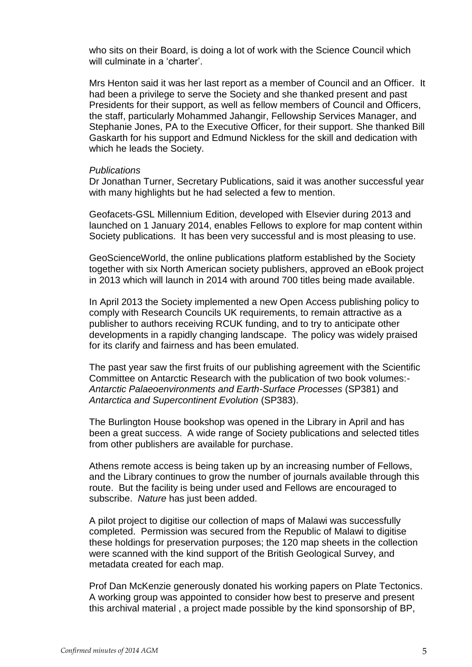who sits on their Board, is doing a lot of work with the Science Council which will culminate in a 'charter'.

Mrs Henton said it was her last report as a member of Council and an Officer. It had been a privilege to serve the Society and she thanked present and past Presidents for their support, as well as fellow members of Council and Officers, the staff, particularly Mohammed Jahangir, Fellowship Services Manager, and Stephanie Jones, PA to the Executive Officer, for their support. She thanked Bill Gaskarth for his support and Edmund Nickless for the skill and dedication with which he leads the Society.

#### *Publications*

Dr Jonathan Turner, Secretary Publications, said it was another successful year with many highlights but he had selected a few to mention.

Geofacets-GSL Millennium Edition, developed with Elsevier during 2013 and launched on 1 January 2014, enables Fellows to explore for map content within Society publications. It has been very successful and is most pleasing to use.

GeoScienceWorld, the online publications platform established by the Society together with six North American society publishers, approved an eBook project in 2013 which will launch in 2014 with around 700 titles being made available.

In April 2013 the Society implemented a new Open Access publishing policy to comply with Research Councils UK requirements, to remain attractive as a publisher to authors receiving RCUK funding, and to try to anticipate other developments in a rapidly changing landscape. The policy was widely praised for its clarify and fairness and has been emulated.

The past year saw the first fruits of our publishing agreement with the Scientific Committee on Antarctic Research with the publication of two book volumes:- *Antarctic Palaeoenvironments and Earth-Surface Processes* (SP381) and *Antarctica and Supercontinent Evolution* (SP383).

The Burlington House bookshop was opened in the Library in April and has been a great success. A wide range of Society publications and selected titles from other publishers are available for purchase.

Athens remote access is being taken up by an increasing number of Fellows, and the Library continues to grow the number of journals available through this route. But the facility is being under used and Fellows are encouraged to subscribe. *Nature* has just been added.

A pilot project to digitise our collection of maps of Malawi was successfully completed. Permission was secured from the Republic of Malawi to digitise these holdings for preservation purposes; the 120 map sheets in the collection were scanned with the kind support of the British Geological Survey, and metadata created for each map.

Prof Dan McKenzie generously donated his working papers on Plate Tectonics. A working group was appointed to consider how best to preserve and present this archival material , a project made possible by the kind sponsorship of BP,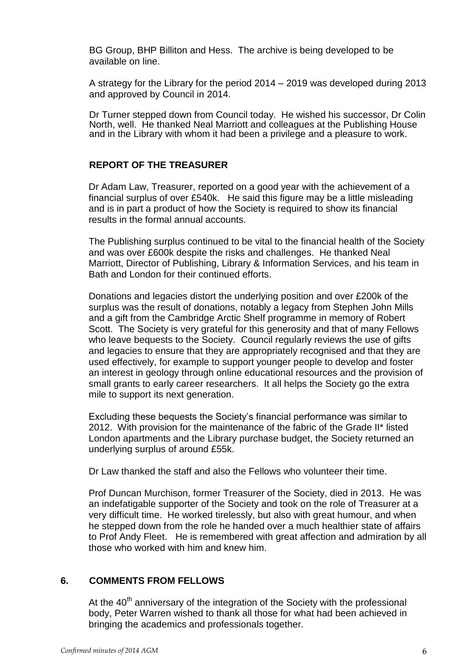BG Group, BHP Billiton and Hess. The archive is being developed to be available on line.

A strategy for the Library for the period 2014 – 2019 was developed during 2013 and approved by Council in 2014.

Dr Turner stepped down from Council today. He wished his successor, Dr Colin North, well. He thanked Neal Marriott and colleagues at the Publishing House and in the Library with whom it had been a privilege and a pleasure to work.

## **REPORT OF THE TREASURER**

Dr Adam Law, Treasurer, reported on a good year with the achievement of a financial surplus of over £540k. He said this figure may be a little misleading and is in part a product of how the Society is required to show its financial results in the formal annual accounts.

The Publishing surplus continued to be vital to the financial health of the Society and was over £600k despite the risks and challenges. He thanked Neal Marriott, Director of Publishing, Library & Information Services, and his team in Bath and London for their continued efforts.

Donations and legacies distort the underlying position and over £200k of the surplus was the result of donations, notably a legacy from Stephen John Mills and a gift from the Cambridge Arctic Shelf programme in memory of Robert Scott. The Society is very grateful for this generosity and that of many Fellows who leave bequests to the Society. Council regularly reviews the use of gifts and legacies to ensure that they are appropriately recognised and that they are used effectively, for example to support younger people to develop and foster an interest in geology through online educational resources and the provision of small grants to early career researchers. It all helps the Society go the extra mile to support its next generation.

Excluding these bequests the Society's financial performance was similar to 2012. With provision for the maintenance of the fabric of the Grade II\* listed London apartments and the Library purchase budget, the Society returned an underlying surplus of around £55k.

Dr Law thanked the staff and also the Fellows who volunteer their time.

Prof Duncan Murchison, former Treasurer of the Society, died in 2013. He was an indefatigable supporter of the Society and took on the role of Treasurer at a very difficult time. He worked tirelessly, but also with great humour, and when he stepped down from the role he handed over a much healthier state of affairs to Prof Andy Fleet. He is remembered with great affection and admiration by all those who worked with him and knew him.

#### **6. COMMENTS FROM FELLOWS**

At the  $40<sup>th</sup>$  anniversary of the integration of the Society with the professional body, Peter Warren wished to thank all those for what had been achieved in bringing the academics and professionals together.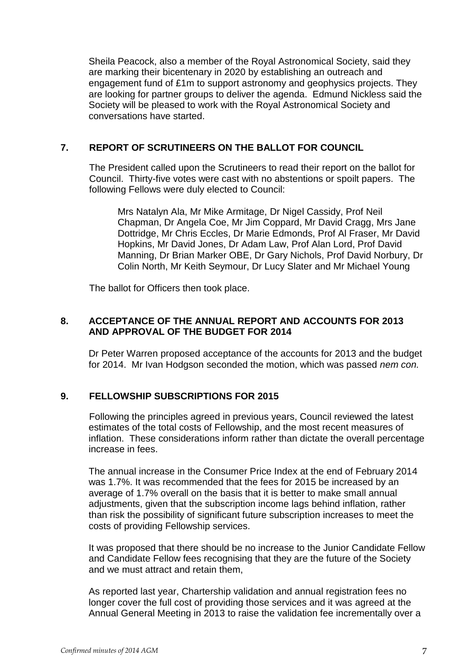Sheila Peacock, also a member of the Royal Astronomical Society, said they are marking their bicentenary in 2020 by establishing an outreach and engagement fund of £1m to support astronomy and geophysics projects. They are looking for partner groups to deliver the agenda. Edmund Nickless said the Society will be pleased to work with the Royal Astronomical Society and conversations have started.

## **7. REPORT OF SCRUTINEERS ON THE BALLOT FOR COUNCIL**

The President called upon the Scrutineers to read their report on the ballot for Council. Thirty-five votes were cast with no abstentions or spoilt papers. The following Fellows were duly elected to Council:

Mrs Natalyn Ala, Mr Mike Armitage, Dr Nigel Cassidy, Prof Neil Chapman, Dr Angela Coe, Mr Jim Coppard, Mr David Cragg, Mrs Jane Dottridge, Mr Chris Eccles, Dr Marie Edmonds, Prof Al Fraser, Mr David Hopkins, Mr David Jones, Dr Adam Law, Prof Alan Lord, Prof David Manning, Dr Brian Marker OBE, Dr Gary Nichols, Prof David Norbury, Dr Colin North, Mr Keith Seymour, Dr Lucy Slater and Mr Michael Young

The ballot for Officers then took place.

## **8. ACCEPTANCE OF THE ANNUAL REPORT AND ACCOUNTS FOR 2013 AND APPROVAL OF THE BUDGET FOR 2014**

Dr Peter Warren proposed acceptance of the accounts for 2013 and the budget for 2014. Mr Ivan Hodgson seconded the motion, which was passed *nem con.*

# **9. FELLOWSHIP SUBSCRIPTIONS FOR 2015**

Following the principles agreed in previous years, Council reviewed the latest estimates of the total costs of Fellowship, and the most recent measures of inflation. These considerations inform rather than dictate the overall percentage increase in fees.

The annual increase in the Consumer Price Index at the end of February 2014 was 1.7%. It was recommended that the fees for 2015 be increased by an average of 1.7% overall on the basis that it is better to make small annual adjustments, given that the subscription income lags behind inflation, rather than risk the possibility of significant future subscription increases to meet the costs of providing Fellowship services.

It was proposed that there should be no increase to the Junior Candidate Fellow and Candidate Fellow fees recognising that they are the future of the Society and we must attract and retain them,

As reported last year, Chartership validation and annual registration fees no longer cover the full cost of providing those services and it was agreed at the Annual General Meeting in 2013 to raise the validation fee incrementally over a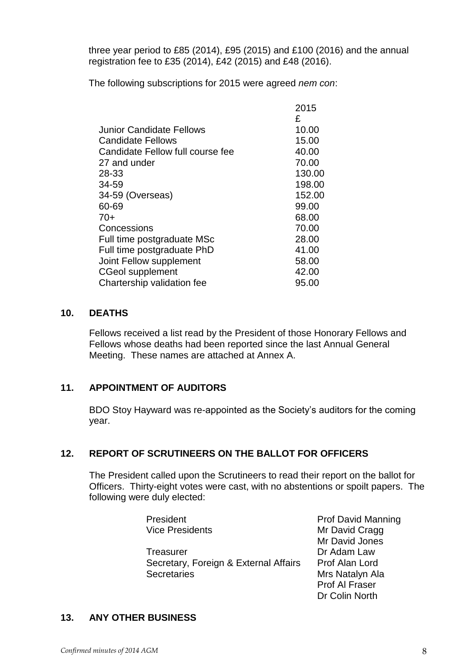three year period to £85 (2014), £95 (2015) and £100 (2016) and the annual registration fee to £35 (2014), £42 (2015) and £48 (2016).

The following subscriptions for 2015 were agreed *nem con*:

| 2015   |
|--------|
| £      |
| 10.00  |
| 15.00  |
| 40.00  |
| 70.00  |
| 130.00 |
| 198.00 |
| 152.00 |
| 99.00  |
| 68.00  |
| 70.00  |
| 28.00  |
| 41.00  |
| 58.00  |
| 42.00  |
| 95.00  |
|        |

#### **10. DEATHS**

Fellows received a list read by the President of those Honorary Fellows and Fellows whose deaths had been reported since the last Annual General Meeting. These names are attached at Annex A.

## **11. APPOINTMENT OF AUDITORS**

BDO Stoy Hayward was re-appointed as the Society's auditors for the coming year.

# **12. REPORT OF SCRUTINEERS ON THE BALLOT FOR OFFICERS**

The President called upon the Scrutineers to read their report on the ballot for Officers. Thirty-eight votes were cast, with no abstentions or spoilt papers. The following were duly elected:

| President                             | <b>Prof David Manning</b> |
|---------------------------------------|---------------------------|
| <b>Vice Presidents</b>                | Mr David Cragg            |
|                                       | Mr David Jones            |
| Treasurer                             | Dr Adam Law               |
| Secretary, Foreign & External Affairs | Prof Alan Lord            |
| <b>Secretaries</b>                    | Mrs Natalyn Ala           |
|                                       | Prof Al Fraser            |
|                                       | Dr Colin North            |

# **13. ANY OTHER BUSINESS**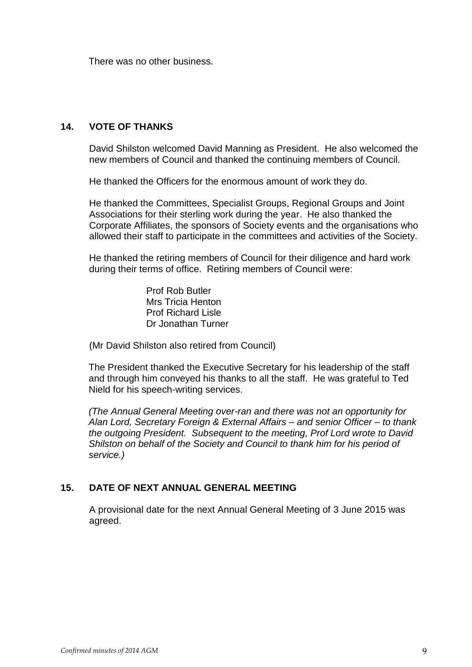There was no other business.

# **14. VOTE OF THANKS**

David Shilston welcomed David Manning as President. He also welcomed the new members of Council and thanked the continuing members of Council.

He thanked the Officers for the enormous amount of work they do.

He thanked the Committees, Specialist Groups, Regional Groups and Joint Associations for their sterling work during the year. He also thanked the Corporate Affiliates, the sponsors of Society events and the organisations who allowed their staff to participate in the committees and activities of the Society.

He thanked the retiring members of Council for their diligence and hard work during their terms of office. Retiring members of Council were:

> Prof Rob Butler Mrs Tricia Henton Prof Richard Lisle Dr Jonathan Turner

(Mr David Shilston also retired from Council)

The President thanked the Executive Secretary for his leadership of the staff and through him conveyed his thanks to all the staff. He was grateful to Ted Nield for his speech-writing services.

*(The Annual General Meeting over-ran and there was not an opportunity for Alan Lord, Secretary Foreign & External Affairs – and senior Officer – to thank the outgoing President. Subsequent to the meeting, Prof Lord wrote to David Shilston on behalf of the Society and Council to thank him for his period of service.)*

# **15. DATE OF NEXT ANNUAL GENERAL MEETING**

A provisional date for the next Annual General Meeting of 3 June 2015 was agreed.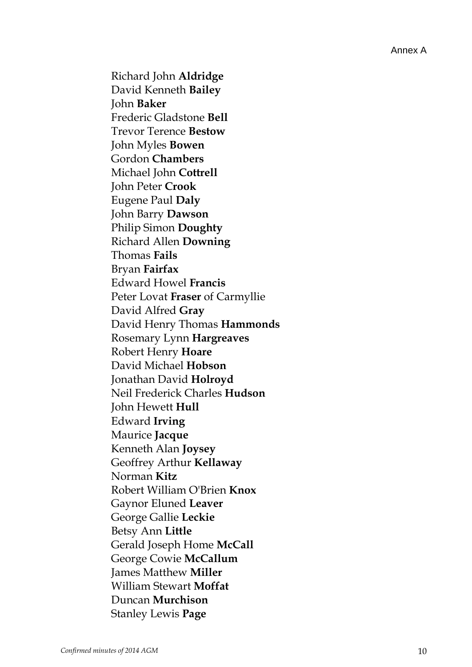Richard John **Aldridge** David Kenneth **Bailey** John **Baker** Frederic Gladstone **Bell** Trevor Terence **Bestow** John Myles **Bowen** Gordon **Chambers** Michael John **Cottrell** John Peter **Crook** Eugene Paul **Daly** John Barry **Dawson** Philip Simon **Doughty** Richard Allen **Downing** Thomas **Fails** Bryan **Fairfax** Edward Howel **Francis** Peter Lovat **Fraser** of Carmyllie David Alfred **Gray** David Henry Thomas **Hammonds** Rosemary Lynn **Hargreaves** Robert Henry **Hoare** David Michael **Hobson** Jonathan David **Holroyd** Neil Frederick Charles **Hudson** John Hewett **Hull** Edward **Irving** Maurice **Jacque** Kenneth Alan **Joysey** Geoffrey Arthur **Kellaway** Norman **Kitz** Robert William O'Brien **Knox** Gaynor Eluned **Leaver** George Gallie **Leckie** Betsy Ann **Little** Gerald Joseph Home **McCall** George Cowie **McCallum** James Matthew **Miller** William Stewart **Moffat** Duncan **Murchison** Stanley Lewis **Page**